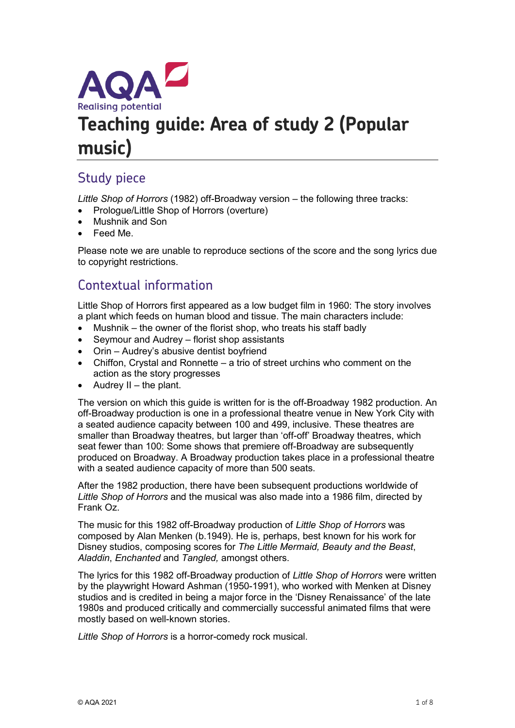

# **Teaching guide: Area of study 2 (Popular music)**

# Study piece

*Little Shop of Horrors* (1982) off-Broadway version – the following three tracks:

- Prologue/Little Shop of Horrors (overture)
- Mushnik and Son
- Feed Me.

Please note we are unable to reproduce sections of the score and the song lyrics due to copyright restrictions.

# Contextual information

Little Shop of Horrors first appeared as a low budget film in 1960: The story involves a plant which feeds on human blood and tissue. The main characters include:

- Mushnik the owner of the florist shop, who treats his staff badly
- Seymour and Audrey florist shop assistants
- Orin Audrey's abusive dentist boyfriend
- Chiffon, Crystal and Ronnette a trio of street urchins who comment on the action as the story progresses
- $\bullet$  Audrey II the plant.

The version on which this guide is written for is the off-Broadway 1982 production. An off-Broadway production is one in a professional theatre venue in New York City with a seated audience capacity between 100 and 499, inclusive. These theatres are smaller than Broadway theatres, but larger than 'off-off' Broadway theatres, which seat fewer than 100: Some shows that premiere off-Broadway are subsequently produced on Broadway. A Broadway production takes place in a professional theatre with a seated audience capacity of more than 500 seats.

After the 1982 production, there have been subsequent productions worldwide of *Little Shop of Horrors* and the musical was also made into a 1986 film, directed by Frank Oz.

The music for this 1982 off-Broadway production of *Little Shop of Horrors* was composed by Alan Menken (b.1949). He is, perhaps, best known for his work for Disney studios, composing scores for *The Little Mermaid, Beauty and the Beast*, *Aladdin*, *Enchanted* and *Tangled,* amongst others.

The lyrics for this 1982 off-Broadway production of *Little Shop of Horrors* were written by the playwright Howard Ashman (1950-1991), who worked with Menken at Disney studios and is credited in being a major force in the 'Disney Renaissance' of the late 1980s and produced critically and commercially successful animated films that were mostly based on well-known stories.

*Little Shop of Horrors* is a horror-comedy rock musical.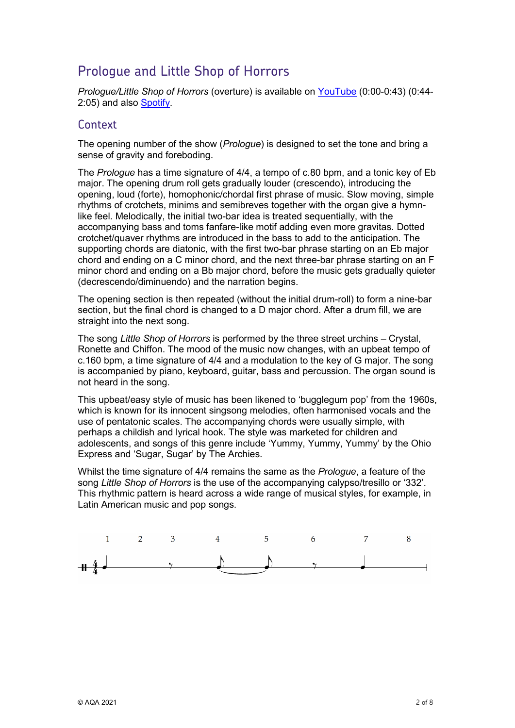# Prologue and Little Shop of Horrors

*Prologue/Little Shop of Horrors* (overture) is available on [YouTube](https://www.youtube.com/watch?v=MNdP0Xek39A) (0:00-0:43) (0:44- 2:05) and also [Spotify.](https://open.spotify.com/track/2fdcYTuo3Z5HMMEu8n3H3o?si=e870ec17fc7e400b)

#### **Context**

The opening number of the show (*Prologue*) is designed to set the tone and bring a sense of gravity and foreboding.

The *Prologue* has a time signature of 4/4, a tempo of c.80 bpm, and a tonic key of Eb major. The opening drum roll gets gradually louder (crescendo), introducing the opening, loud (forte), homophonic/chordal first phrase of music. Slow moving, simple rhythms of crotchets, minims and semibreves together with the organ give a hymnlike feel. Melodically, the initial two-bar idea is treated sequentially, with the accompanying bass and toms fanfare-like motif adding even more gravitas. Dotted crotchet/quaver rhythms are introduced in the bass to add to the anticipation. The supporting chords are diatonic, with the first two-bar phrase starting on an Eb major chord and ending on a C minor chord, and the next three-bar phrase starting on an F minor chord and ending on a Bb major chord, before the music gets gradually quieter (decrescendo/diminuendo) and the narration begins.

The opening section is then repeated (without the initial drum-roll) to form a nine-bar section, but the final chord is changed to a D major chord. After a drum fill, we are straight into the next song.

The song *Little Shop of Horrors* is performed by the three street urchins – Crystal, Ronette and Chiffon. The mood of the music now changes, with an upbeat tempo of c.160 bpm, a time signature of 4/4 and a modulation to the key of G major. The song is accompanied by piano, keyboard, guitar, bass and percussion. The organ sound is not heard in the song.

This upbeat/easy style of music has been likened to 'bugglegum pop' from the 1960s, which is known for its innocent singsong melodies, often harmonised vocals and the use of pentatonic scales. The accompanying chords were usually simple, with perhaps a childish and lyrical hook. The style was marketed for children and adolescents, and songs of this genre include 'Yummy, Yummy, Yummy' by the Ohio Express and 'Sugar, Sugar' by The Archies.

Whilst the time signature of 4/4 remains the same as the *Prologue*, a feature of the song *Little Shop of Horrors* is the use of the accompanying calypso/tresillo or '332'. This rhythmic pattern is heard across a wide range of musical styles, for example, in Latin American music and pop songs.

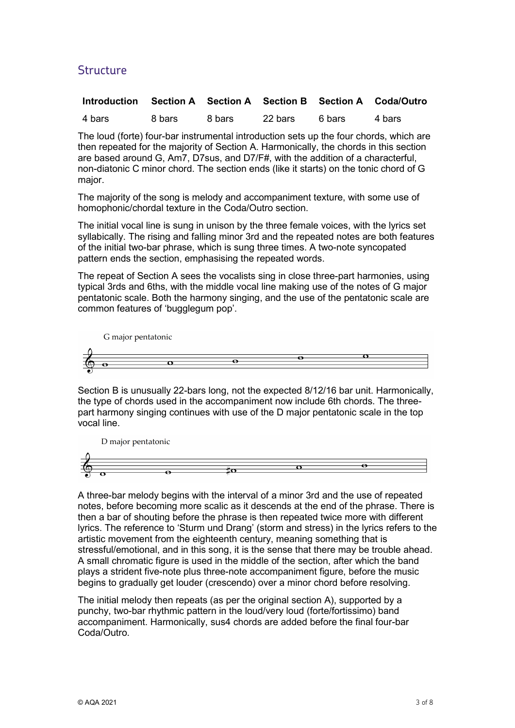## **Structure**

| Introduction Section A Section A Section B Section A Coda/Outro |        |        |         |        |        |
|-----------------------------------------------------------------|--------|--------|---------|--------|--------|
| 4 bars                                                          | 8 bars | 8 bars | 22 bars | 6 bars | 4 bars |

The loud (forte) four-bar instrumental introduction sets up the four chords, which are then repeated for the majority of Section A. Harmonically, the chords in this section are based around G, Am7, D7sus, and D7/F#, with the addition of a characterful, non-diatonic C minor chord. The section ends (like it starts) on the tonic chord of G major.

The majority of the song is melody and accompaniment texture, with some use of homophonic/chordal texture in the Coda/Outro section.

The initial vocal line is sung in unison by the three female voices, with the lyrics set syllabically. The rising and falling minor 3rd and the repeated notes are both features of the initial two-bar phrase, which is sung three times. A two-note syncopated pattern ends the section, emphasising the repeated words.

The repeat of Section A sees the vocalists sing in close three-part harmonies, using typical 3rds and 6ths, with the middle vocal line making use of the notes of G major pentatonic scale. Both the harmony singing, and the use of the pentatonic scale are common features of 'bugglegum pop'.



Section B is unusually 22-bars long, not the expected 8/12/16 bar unit. Harmonically, the type of chords used in the accompaniment now include 6th chords. The threepart harmony singing continues with use of the D major pentatonic scale in the top vocal line.

D major pentatonic



A three-bar melody begins with the interval of a minor 3rd and the use of repeated notes, before becoming more scalic as it descends at the end of the phrase. There is then a bar of shouting before the phrase is then repeated twice more with different lyrics. The reference to 'Sturm und Drang' (storm and stress) in the lyrics refers to the artistic movement from the eighteenth century, meaning something that is stressful/emotional, and in this song, it is the sense that there may be trouble ahead. A small chromatic figure is used in the middle of the section, after which the band plays a strident five-note plus three-note accompaniment figure, before the music begins to gradually get louder (crescendo) over a minor chord before resolving.

The initial melody then repeats (as per the original section A), supported by a punchy, two-bar rhythmic pattern in the loud/very loud (forte/fortissimo) band accompaniment. Harmonically, sus4 chords are added before the final four-bar Coda/Outro.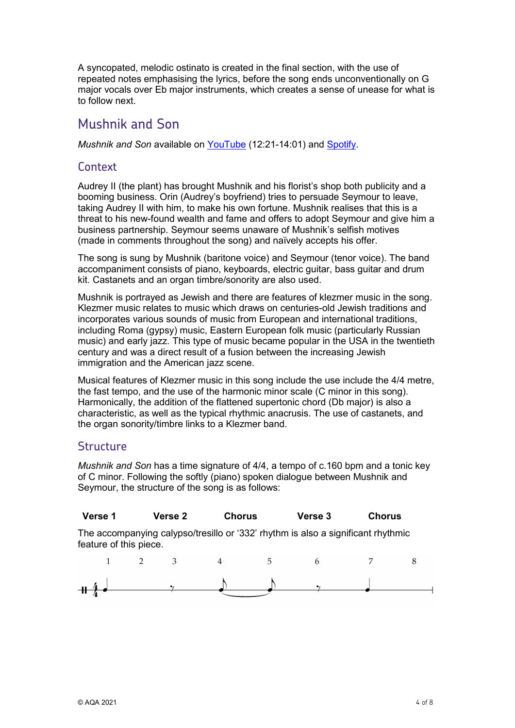A syncopated, melodic ostinato is created in the final section, with the use of repeated notes emphasising the lyrics, before the song ends unconventionally on G major vocals over Eb major instruments, which creates a sense of unease for what is to follow next.

## Mushnik and Son

*Mushnik and Son* available on [YouTube](https://www.youtube.com/watch?v=MNdP0Xek39A) (12:21-14:01) and [Spotify.](https://open.spotify.com/track/5ppyNBlN54vKZ5cSzYZIGx?si=22a5dcd82f9949b1)

## **Context**

Audrey II (the plant) has brought Mushnik and his florist's shop both publicity and a booming business. Orin (Audrey's boyfriend) tries to persuade Seymour to leave, taking Audrey II with him, to make his own fortune. Mushnik realises that this is a threat to his new-found wealth and fame and offers to adopt Seymour and give him a business partnership. Seymour seems unaware of Mushnik's selfish motives (made in comments throughout the song) and naïvely accepts his offer.

The song is sung by Mushnik (baritone voice) and Seymour (tenor voice). The band accompaniment consists of piano, keyboards, electric guitar, bass guitar and drum kit. Castanets and an organ timbre/sonority are also used.

Mushnik is portrayed as Jewish and there are features of klezmer music in the song. Klezmer music relates to music which draws on centuries-old Jewish traditions and incorporates various sounds of music from European and international traditions, including Roma (gypsy) music, Eastern European folk music (particularly Russian music) and early jazz. This type of music became popular in the USA in the twentieth century and was a direct result of a fusion between the increasing Jewish immigration and the American jazz scene.

Musical features of Klezmer music in this song include the use include the 4/4 metre, the fast tempo, and the use of the harmonic minor scale (C minor in this song). Harmonically, the addition of the flattened supertonic chord (Db major) is also a characteristic, as well as the typical rhythmic anacrusis. The use of castanets, and the organ sonority/timbre links to a Klezmer band.

### **Structure**

*Mushnik and Son* has a time signature of 4/4, a tempo of c.160 bpm and a tonic key of C minor. Following the softly (piano) spoken dialogue between Mushnik and Seymour, the structure of the song is as follows:

| Verse 1 | Verse 2 | Chorus | <b>Verse 3</b> | <b>Chorus</b> |
|---------|---------|--------|----------------|---------------|
|---------|---------|--------|----------------|---------------|

The accompanying calypso/tresillo or '332' rhythm is also a significant rhythmic feature of this piece.

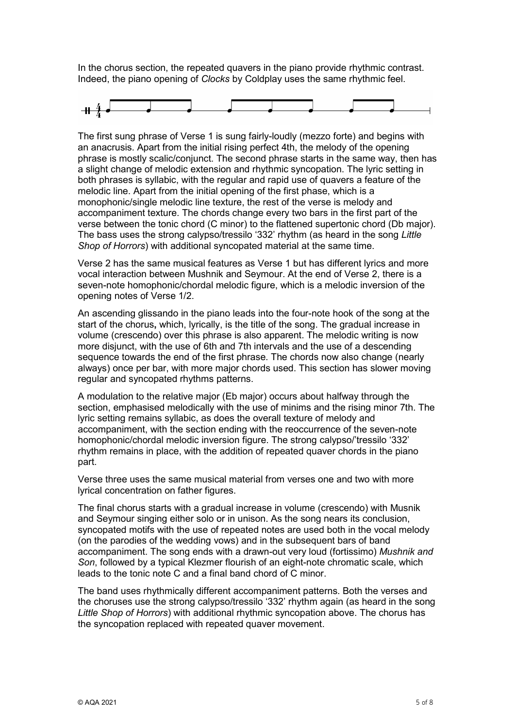In the chorus section, the repeated quavers in the piano provide rhythmic contrast. Indeed, the piano opening of *Clocks* by Coldplay uses the same rhythmic feel.



The first sung phrase of Verse 1 is sung fairly-loudly (mezzo forte) and begins with an anacrusis. Apart from the initial rising perfect 4th, the melody of the opening phrase is mostly scalic/conjunct. The second phrase starts in the same way, then has a slight change of melodic extension and rhythmic syncopation. The lyric setting in both phrases is syllabic, with the regular and rapid use of quavers a feature of the melodic line. Apart from the initial opening of the first phase, which is a monophonic/single melodic line texture, the rest of the verse is melody and accompaniment texture. The chords change every two bars in the first part of the verse between the tonic chord (C minor) to the flattened supertonic chord (Db major). The bass uses the strong calypso/tressilo '332' rhythm (as heard in the song *Little Shop of Horrors*) with additional syncopated material at the same time.

Verse 2 has the same musical features as Verse 1 but has different lyrics and more vocal interaction between Mushnik and Seymour. At the end of Verse 2, there is a seven-note homophonic/chordal melodic figure, which is a melodic inversion of the opening notes of Verse 1/2.

An ascending glissando in the piano leads into the four-note hook of the song at the start of the chorus**,** which, lyrically, is the title of the song. The gradual increase in volume (crescendo) over this phrase is also apparent. The melodic writing is now more disjunct, with the use of 6th and 7th intervals and the use of a descending sequence towards the end of the first phrase. The chords now also change (nearly always) once per bar, with more major chords used. This section has slower moving regular and syncopated rhythms patterns.

A modulation to the relative major (Eb major) occurs about halfway through the section, emphasised melodically with the use of minims and the rising minor 7th. The lyric setting remains syllabic, as does the overall texture of melody and accompaniment, with the section ending with the reoccurrence of the seven-note homophonic/chordal melodic inversion figure. The strong calypso/'tressilo '332' rhythm remains in place, with the addition of repeated quaver chords in the piano part.

Verse three uses the same musical material from verses one and two with more lyrical concentration on father figures.

The final chorus starts with a gradual increase in volume (crescendo) with Musnik and Seymour singing either solo or in unison. As the song nears its conclusion, syncopated motifs with the use of repeated notes are used both in the vocal melody (on the parodies of the wedding vows) and in the subsequent bars of band accompaniment. The song ends with a drawn-out very loud (fortissimo) *Mushnik and Son*, followed by a typical Klezmer flourish of an eight-note chromatic scale, which leads to the tonic note C and a final band chord of C minor.

The band uses rhythmically different accompaniment patterns. Both the verses and the choruses use the strong calypso/tressilo '332' rhythm again (as heard in the song *Little Shop of Horrors*) with additional rhythmic syncopation above. The chorus has the syncopation replaced with repeated quaver movement.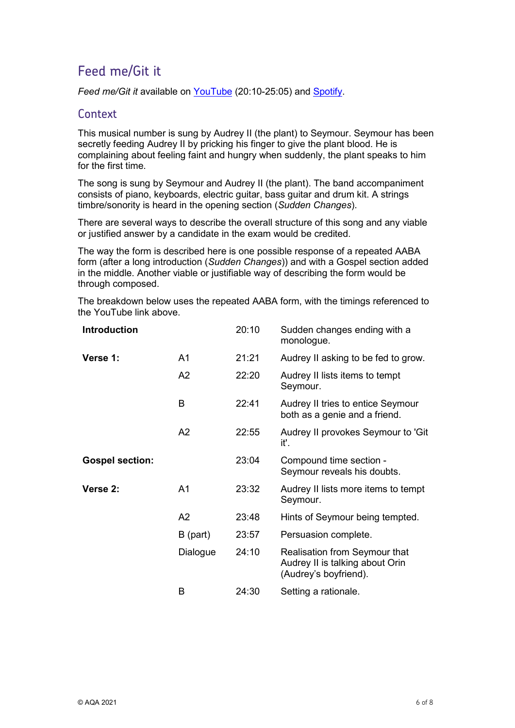# Feed me/Git it

*Feed me/Git it* available on [YouTube](https://www.youtube.com/watch?v=MNdP0Xek39A) (20:10-25:05) and [Spotify.](https://open.spotify.com/track/6uOa4cJ9FY7jTneZ0Ta8ZN?si=cfb333fca2eb4d1a)

#### **Context**

This musical number is sung by Audrey II (the plant) to Seymour. Seymour has been secretly feeding Audrey II by pricking his finger to give the plant blood. He is complaining about feeling faint and hungry when suddenly, the plant speaks to him for the first time.

The song is sung by Seymour and Audrey II (the plant). The band accompaniment consists of piano, keyboards, electric guitar, bass guitar and drum kit. A strings timbre/sonority is heard in the opening section (*Sudden Changes*).

There are several ways to describe the overall structure of this song and any viable or justified answer by a candidate in the exam would be credited.

The way the form is described here is one possible response of a repeated AABA form (after a long introduction (*Sudden Changes*)) and with a Gospel section added in the middle. Another viable or justifiable way of describing the form would be through composed.

The breakdown below uses the repeated AABA form, with the timings referenced to the YouTube link above.

| <b>Introduction</b>    |                | 20:10 | Sudden changes ending with a<br>monologue.                                                |
|------------------------|----------------|-------|-------------------------------------------------------------------------------------------|
| Verse 1:               | A1             | 21:21 | Audrey II asking to be fed to grow.                                                       |
|                        | A2             | 22:20 | Audrey II lists items to tempt<br>Seymour.                                                |
|                        | B              | 22:41 | Audrey II tries to entice Seymour<br>both as a genie and a friend.                        |
|                        | A2             | 22:55 | Audrey II provokes Seymour to 'Git<br>it'.                                                |
| <b>Gospel section:</b> |                | 23:04 | Compound time section -<br>Seymour reveals his doubts.                                    |
| Verse 2:               | A <sub>1</sub> | 23:32 | Audrey II lists more items to tempt<br>Seymour.                                           |
|                        | A2             | 23:48 | Hints of Seymour being tempted.                                                           |
|                        | $B$ (part)     | 23:57 | Persuasion complete.                                                                      |
|                        | Dialogue       | 24:10 | Realisation from Seymour that<br>Audrey II is talking about Orin<br>(Audrey's boyfriend). |
|                        | B              | 24:30 | Setting a rationale.                                                                      |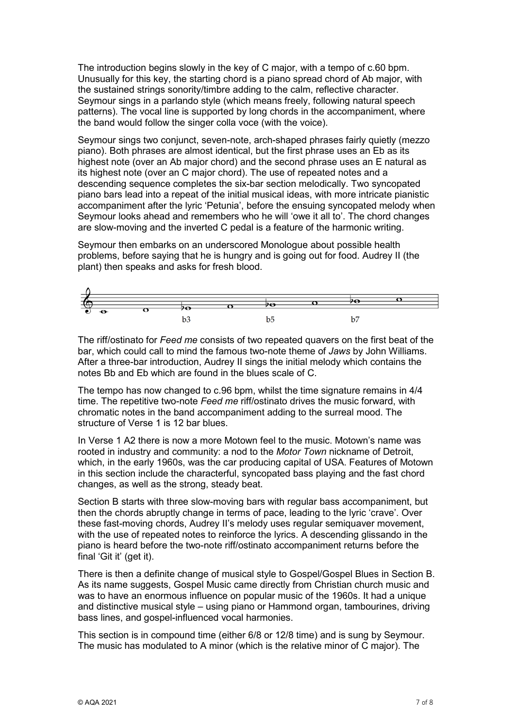The introduction begins slowly in the key of C major, with a tempo of c.60 bpm. Unusually for this key, the starting chord is a piano spread chord of Ab major, with the sustained strings sonority/timbre adding to the calm, reflective character. Seymour sings in a parlando style (which means freely, following natural speech patterns). The vocal line is supported by long chords in the accompaniment, where the band would follow the singer colla voce (with the voice).

Seymour sings two conjunct, seven-note, arch-shaped phrases fairly quietly (mezzo piano). Both phrases are almost identical, but the first phrase uses an Eb as its highest note (over an Ab major chord) and the second phrase uses an E natural as its highest note (over an C major chord). The use of repeated notes and a descending sequence completes the six-bar section melodically. Two syncopated piano bars lead into a repeat of the initial musical ideas, with more intricate pianistic accompaniment after the lyric 'Petunia', before the ensuing syncopated melody when Seymour looks ahead and remembers who he will 'owe it all to'. The chord changes are slow-moving and the inverted C pedal is a feature of the harmonic writing.

Seymour then embarks on an underscored Monologue about possible health problems, before saying that he is hungry and is going out for food. Audrey II (the plant) then speaks and asks for fresh blood.



The riff/ostinato for *Feed me* consists of two repeated quavers on the first beat of the bar, which could call to mind the famous two-note theme of *Jaws* by John Williams. After a three-bar introduction, Audrey II sings the initial melody which contains the notes Bb and Eb which are found in the blues scale of C.

The tempo has now changed to c.96 bpm, whilst the time signature remains in 4/4 time. The repetitive two-note *Feed me* riff/ostinato drives the music forward, with chromatic notes in the band accompaniment adding to the surreal mood. The structure of Verse 1 is 12 har blues.

In Verse 1 A2 there is now a more Motown feel to the music. Motown's name was rooted in industry and community: a nod to the *Motor Town* nickname of Detroit, which, in the early 1960s, was the car producing capital of USA. Features of Motown in this section include the characterful, syncopated bass playing and the fast chord changes, as well as the strong, steady beat.

Section B starts with three slow-moving bars with regular bass accompaniment, but then the chords abruptly change in terms of pace, leading to the lyric 'crave'. Over these fast-moving chords, Audrey II's melody uses regular semiquaver movement, with the use of repeated notes to reinforce the lyrics. A descending glissando in the piano is heard before the two-note riff/ostinato accompaniment returns before the final 'Git it' (get it).

There is then a definite change of musical style to Gospel/Gospel Blues in Section B. As its name suggests. Gospel Music came directly from Christian church music and was to have an enormous influence on popular music of the 1960s. It had a unique and distinctive musical style – using piano or Hammond organ, tambourines, driving bass lines, and gospel-influenced vocal harmonies.

This section is in compound time (either 6/8 or 12/8 time) and is sung by Seymour. The music has modulated to A minor (which is the relative minor of C major). The